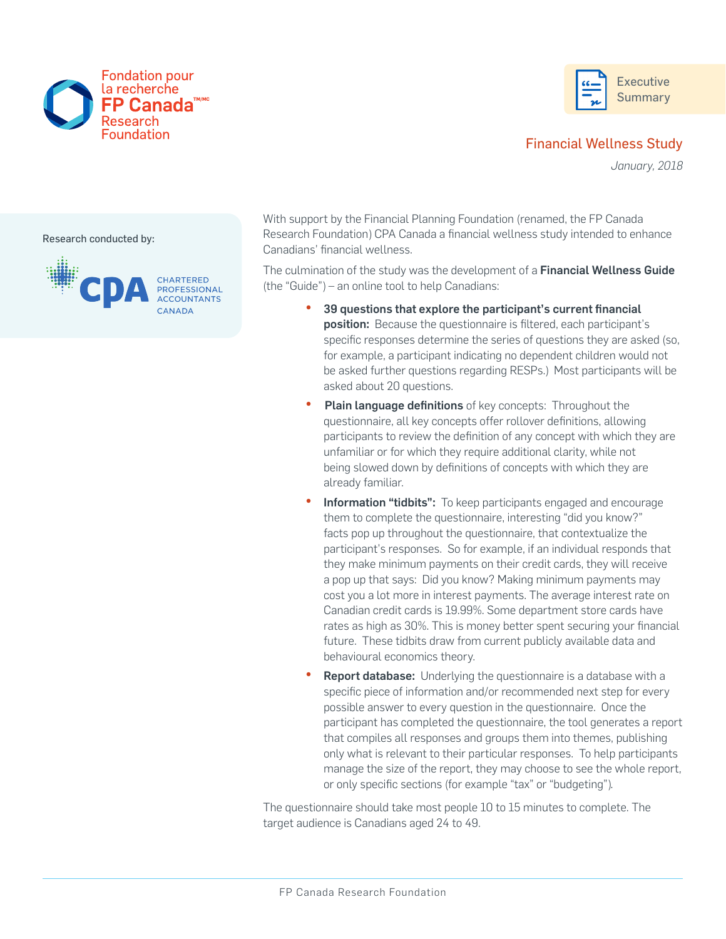



# Financial Wellness Study

*January, 2018*

Research conducted by:



With support by the Financial Planning Foundation (renamed, the FP Canada Research Foundation) CPA Canada a financial wellness study intended to enhance Canadians' financial wellness.

The culmination of the study was the development of a Financial Wellness Guide (the "Guide") – an online tool to help Canadians:

- 39 questions that explore the participant's current financial position: Because the questionnaire is filtered, each participant's specific responses determine the series of questions they are asked (so, for example, a participant indicating no dependent children would not be asked further questions regarding RESPs.) Most participants will be asked about 20 questions.
- **Plain language definitions** of key concepts: Throughout the questionnaire, all key concepts offer rollover definitions, allowing participants to review the definition of any concept with which they are unfamiliar or for which they require additional clarity, while not being slowed down by definitions of concepts with which they are already familiar.
- Information "tidbits": To keep participants engaged and encourage them to complete the questionnaire, interesting "did you know?" facts pop up throughout the questionnaire, that contextualize the participant's responses. So for example, if an individual responds that they make minimum payments on their credit cards, they will receive a pop up that says: Did you know? Making minimum payments may cost you a lot more in interest payments. The average interest rate on Canadian credit cards is 19.99%. Some department store cards have rates as high as 30%. This is money better spent securing your financial future. These tidbits draw from current publicly available data and behavioural economics theory.
- **Report database:** Underlying the questionnaire is a database with a specific piece of information and/or recommended next step for every possible answer to every question in the questionnaire. Once the participant has completed the questionnaire, the tool generates a report that compiles all responses and groups them into themes, publishing only what is relevant to their particular responses. To help participants manage the size of the report, they may choose to see the whole report, or only specific sections (for example "tax" or "budgeting").

The questionnaire should take most people 10 to 15 minutes to complete. The target audience is Canadians aged 24 to 49.